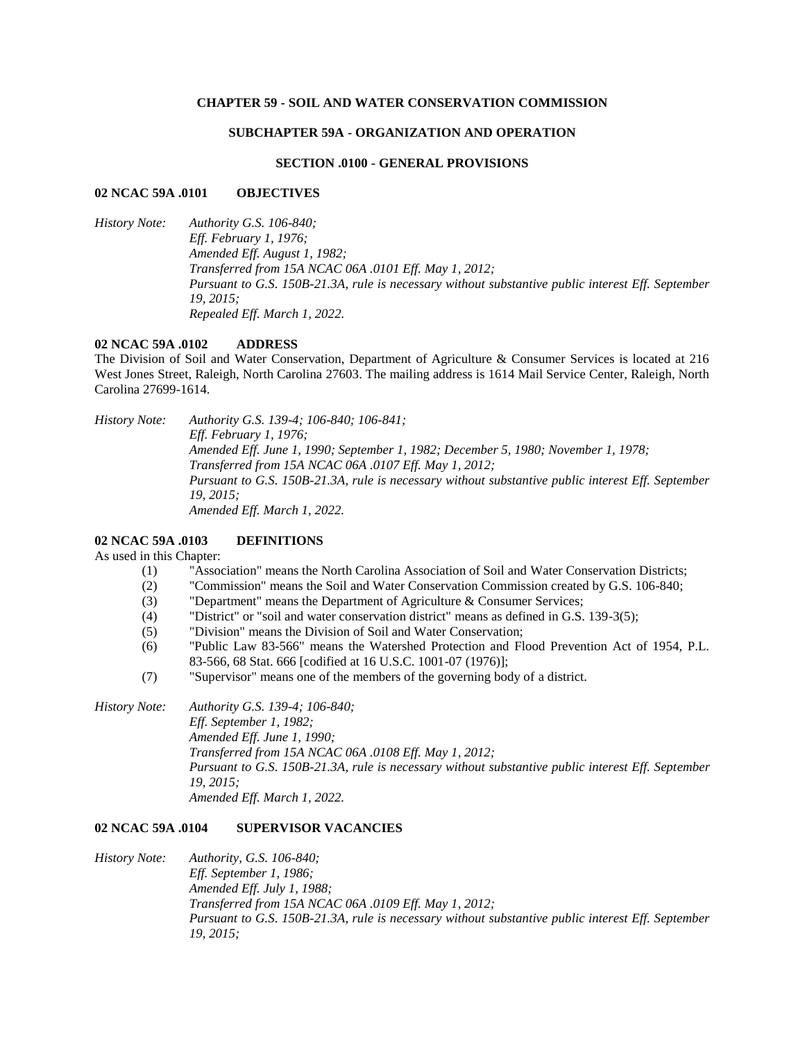### **CHAPTER 59 - SOIL AND WATER CONSERVATION COMMISSION**

## **SUBCHAPTER 59A - ORGANIZATION AND OPERATION**

#### **SECTION .0100 - GENERAL PROVISIONS**

#### **02 NCAC 59A .0101 OBJECTIVES**

*History Note: Authority G.S. 106-840; Eff. February 1, 1976; Amended Eff. August 1, 1982; Transferred from 15A NCAC 06A .0101 Eff. May 1, 2012; Pursuant to G.S. 150B-21.3A, rule is necessary without substantive public interest Eff. September 19, 2015; Repealed Eff. March 1, 2022.*

#### **02 NCAC 59A .0102 ADDRESS**

The Division of Soil and Water Conservation, Department of Agriculture & Consumer Services is located at 216 West Jones Street, Raleigh, North Carolina 27603. The mailing address is 1614 Mail Service Center, Raleigh, North Carolina 27699-1614.

*History Note: Authority G.S. 139-4; 106-840; 106-841; Eff. February 1, 1976; Amended Eff. June 1, 1990; September 1, 1982; December 5, 1980; November 1, 1978; Transferred from 15A NCAC 06A .0107 Eff. May 1, 2012; Pursuant to G.S. 150B-21.3A, rule is necessary without substantive public interest Eff. September 19, 2015; Amended Eff. March 1, 2022.*

# **02 NCAC 59A .0103 DEFINITIONS**

As used in this Chapter:

- (1) "Association" means the North Carolina Association of Soil and Water Conservation Districts;
- (2) "Commission" means the Soil and Water Conservation Commission created by G.S. 106-840;
- (3) "Department" means the Department of Agriculture & Consumer Services;
- (4) "District" or "soil and water conservation district" means as defined in G.S. 139-3(5);
- (5) "Division" means the Division of Soil and Water Conservation;
- (6) "Public Law 83-566" means the Watershed Protection and Flood Prevention Act of 1954, P.L. 83-566, 68 Stat. 666 [codified at 16 U.S.C. 1001-07 (1976)];
- (7) "Supervisor" means one of the members of the governing body of a district.
- *History Note: Authority G.S. 139-4; 106-840; Eff. September 1, 1982; Amended Eff. June 1, 1990; Transferred from 15A NCAC 06A .0108 Eff. May 1, 2012; Pursuant to G.S. 150B-21.3A, rule is necessary without substantive public interest Eff. September 19, 2015; Amended Eff. March 1, 2022.*

### **02 NCAC 59A .0104 SUPERVISOR VACANCIES**

*History Note: Authority, G.S. 106-840; Eff. September 1, 1986; Amended Eff. July 1, 1988; Transferred from 15A NCAC 06A .0109 Eff. May 1, 2012; Pursuant to G.S. 150B-21.3A, rule is necessary without substantive public interest Eff. September 19, 2015;*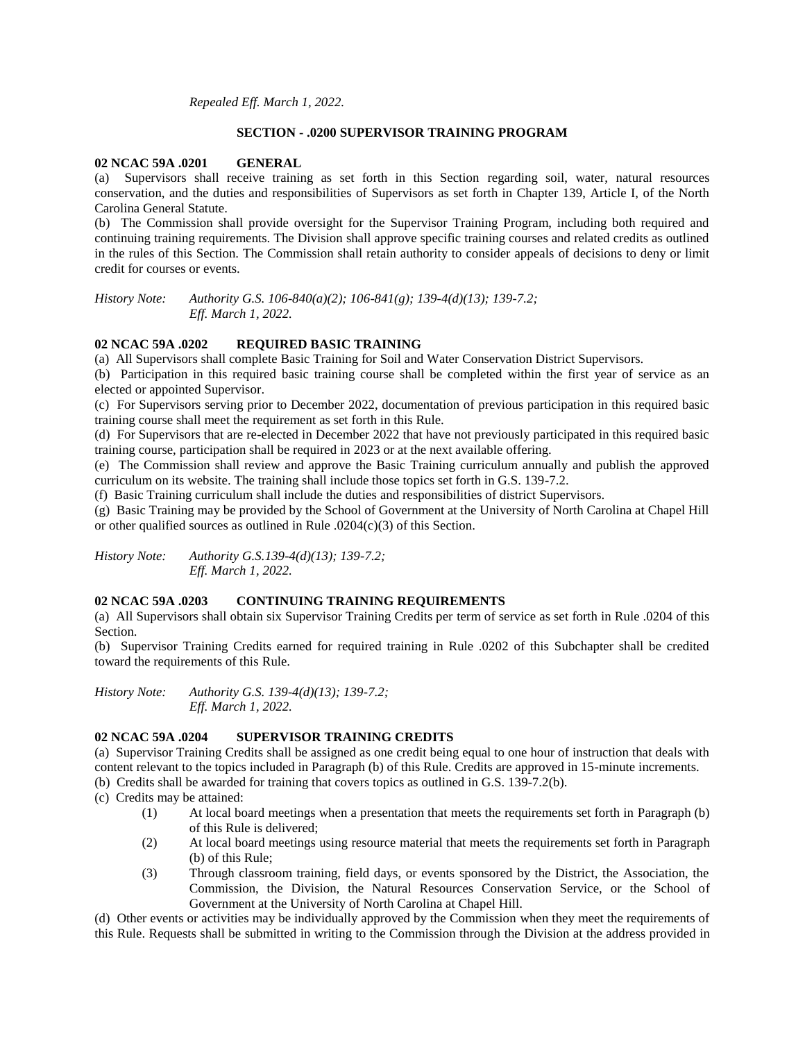*Repealed Eff. March 1, 2022.*

### **SECTION - .0200 SUPERVISOR TRAINING PROGRAM**

### **02 NCAC 59A .0201 GENERAL**

(a) Supervisors shall receive training as set forth in this Section regarding soil, water, natural resources conservation, and the duties and responsibilities of Supervisors as set forth in Chapter 139, Article I, of the North Carolina General Statute.

(b) The Commission shall provide oversight for the Supervisor Training Program, including both required and continuing training requirements. The Division shall approve specific training courses and related credits as outlined in the rules of this Section. The Commission shall retain authority to consider appeals of decisions to deny or limit credit for courses or events.

*History Note: Authority G.S. 106-840(a)(2); 106-841(g); 139-4(d)(13); 139-7.2; Eff. March 1, 2022.*

## **02 NCAC 59A .0202 REQUIRED BASIC TRAINING**

(a) All Supervisors shall complete Basic Training for Soil and Water Conservation District Supervisors.

(b) Participation in this required basic training course shall be completed within the first year of service as an elected or appointed Supervisor.

(c) For Supervisors serving prior to December 2022, documentation of previous participation in this required basic training course shall meet the requirement as set forth in this Rule.

(d) For Supervisors that are re-elected in December 2022 that have not previously participated in this required basic training course, participation shall be required in 2023 or at the next available offering.

(e) The Commission shall review and approve the Basic Training curriculum annually and publish the approved curriculum on its website. The training shall include those topics set forth in G.S. 139-7.2.

(f) Basic Training curriculum shall include the duties and responsibilities of district Supervisors.

(g) Basic Training may be provided by the School of Government at the University of North Carolina at Chapel Hill or other qualified sources as outlined in Rule .0204(c)(3) of this Section.

*History Note: Authority G.S.139-4(d)(13); 139-7.2; Eff. March 1, 2022.*

### **02 NCAC 59A .0203 CONTINUING TRAINING REQUIREMENTS**

(a) All Supervisors shall obtain six Supervisor Training Credits per term of service as set forth in Rule .0204 of this Section.

(b) Supervisor Training Credits earned for required training in Rule .0202 of this Subchapter shall be credited toward the requirements of this Rule.

*History Note: Authority G.S. 139-4(d)(13); 139-7.2; Eff. March 1, 2022.*

# **02 NCAC 59A .0204 SUPERVISOR TRAINING CREDITS**

(a) Supervisor Training Credits shall be assigned as one credit being equal to one hour of instruction that deals with content relevant to the topics included in Paragraph (b) of this Rule. Credits are approved in 15-minute increments.

(b) Credits shall be awarded for training that covers topics as outlined in G.S. 139-7.2(b).

(c) Credits may be attained:

- (1) At local board meetings when a presentation that meets the requirements set forth in Paragraph (b) of this Rule is delivered;
- (2) At local board meetings using resource material that meets the requirements set forth in Paragraph (b) of this Rule;
- (3) Through classroom training, field days, or events sponsored by the District, the Association, the Commission, the Division, the Natural Resources Conservation Service, or the School of Government at the University of North Carolina at Chapel Hill.

(d) Other events or activities may be individually approved by the Commission when they meet the requirements of this Rule. Requests shall be submitted in writing to the Commission through the Division at the address provided in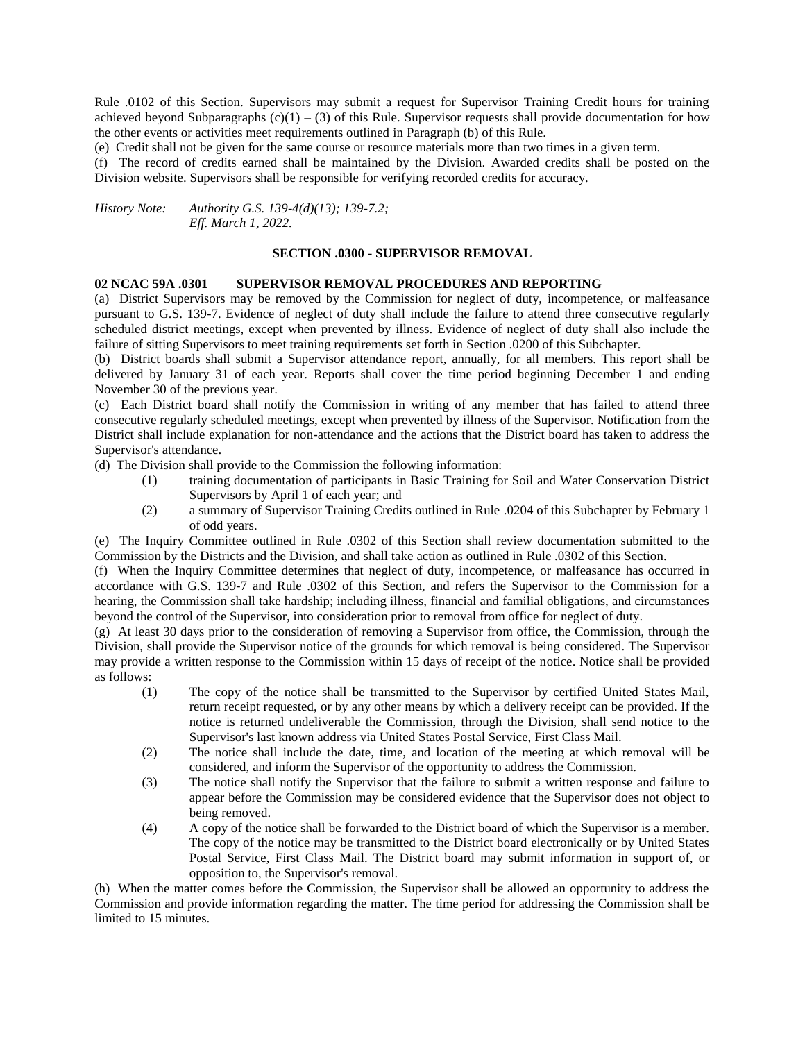Rule .0102 of this Section. Supervisors may submit a request for Supervisor Training Credit hours for training achieved beyond Subparagraphs  $(c)(1) - (3)$  of this Rule. Supervisor requests shall provide documentation for how the other events or activities meet requirements outlined in Paragraph (b) of this Rule.

(e) Credit shall not be given for the same course or resource materials more than two times in a given term.

(f) The record of credits earned shall be maintained by the Division. Awarded credits shall be posted on the Division website. Supervisors shall be responsible for verifying recorded credits for accuracy.

*History Note: Authority G.S. 139-4(d)(13); 139-7.2; Eff. March 1, 2022.*

#### **SECTION .0300 - SUPERVISOR REMOVAL**

#### **02 NCAC 59A .0301 SUPERVISOR REMOVAL PROCEDURES AND REPORTING**

(a) District Supervisors may be removed by the Commission for neglect of duty, incompetence, or malfeasance pursuant to G.S. 139-7. Evidence of neglect of duty shall include the failure to attend three consecutive regularly scheduled district meetings, except when prevented by illness. Evidence of neglect of duty shall also include the failure of sitting Supervisors to meet training requirements set forth in Section .0200 of this Subchapter.

(b) District boards shall submit a Supervisor attendance report, annually, for all members. This report shall be delivered by January 31 of each year. Reports shall cover the time period beginning December 1 and ending November 30 of the previous year.

(c) Each District board shall notify the Commission in writing of any member that has failed to attend three consecutive regularly scheduled meetings, except when prevented by illness of the Supervisor. Notification from the District shall include explanation for non-attendance and the actions that the District board has taken to address the Supervisor's attendance.

(d) The Division shall provide to the Commission the following information:

- (1) training documentation of participants in Basic Training for Soil and Water Conservation District Supervisors by April 1 of each year; and
- (2) a summary of Supervisor Training Credits outlined in Rule .0204 of this Subchapter by February 1 of odd years.

(e) The Inquiry Committee outlined in Rule .0302 of this Section shall review documentation submitted to the Commission by the Districts and the Division, and shall take action as outlined in Rule .0302 of this Section.

(f) When the Inquiry Committee determines that neglect of duty, incompetence, or malfeasance has occurred in accordance with G.S. 139-7 and Rule .0302 of this Section, and refers the Supervisor to the Commission for a hearing, the Commission shall take hardship; including illness, financial and familial obligations, and circumstances beyond the control of the Supervisor, into consideration prior to removal from office for neglect of duty.

(g) At least 30 days prior to the consideration of removing a Supervisor from office, the Commission, through the Division, shall provide the Supervisor notice of the grounds for which removal is being considered. The Supervisor may provide a written response to the Commission within 15 days of receipt of the notice. Notice shall be provided as follows:

- (1) The copy of the notice shall be transmitted to the Supervisor by certified United States Mail, return receipt requested, or by any other means by which a delivery receipt can be provided. If the notice is returned undeliverable the Commission, through the Division, shall send notice to the Supervisor's last known address via United States Postal Service, First Class Mail.
- (2) The notice shall include the date, time, and location of the meeting at which removal will be considered, and inform the Supervisor of the opportunity to address the Commission.
- (3) The notice shall notify the Supervisor that the failure to submit a written response and failure to appear before the Commission may be considered evidence that the Supervisor does not object to being removed.
- (4) A copy of the notice shall be forwarded to the District board of which the Supervisor is a member. The copy of the notice may be transmitted to the District board electronically or by United States Postal Service, First Class Mail. The District board may submit information in support of, or opposition to, the Supervisor's removal.

(h) When the matter comes before the Commission, the Supervisor shall be allowed an opportunity to address the Commission and provide information regarding the matter. The time period for addressing the Commission shall be limited to 15 minutes.